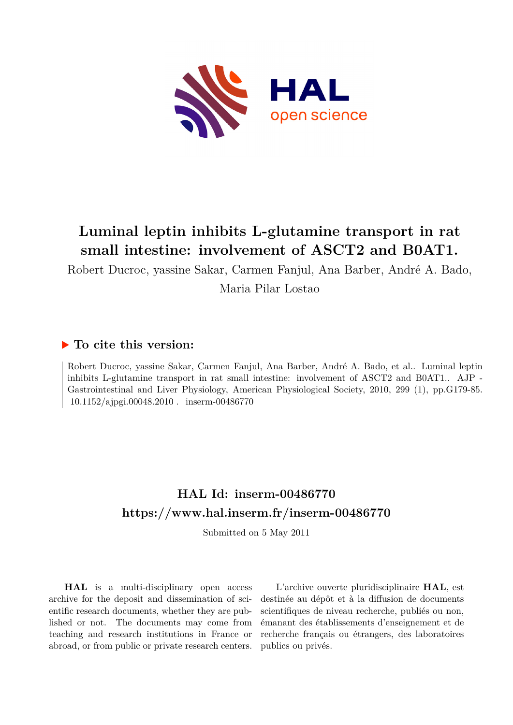

## **Luminal leptin inhibits L-glutamine transport in rat small intestine: involvement of ASCT2 and B0AT1.**

Robert Ducroc, yassine Sakar, Carmen Fanjul, Ana Barber, André A. Bado, Maria Pilar Lostao

## **To cite this version:**

Robert Ducroc, yassine Sakar, Carmen Fanjul, Ana Barber, André A. Bado, et al.. Luminal leptin inhibits L-glutamine transport in rat small intestine: involvement of ASCT2 and B0AT1.. AJP - Gastrointestinal and Liver Physiology, American Physiological Society, 2010, 299 (1), pp.G179-85.  $10.1152/a$ jpgi.00048.2010. inserm-00486770

## **HAL Id: inserm-00486770 <https://www.hal.inserm.fr/inserm-00486770>**

Submitted on 5 May 2011

**HAL** is a multi-disciplinary open access archive for the deposit and dissemination of scientific research documents, whether they are published or not. The documents may come from teaching and research institutions in France or abroad, or from public or private research centers.

L'archive ouverte pluridisciplinaire **HAL**, est destinée au dépôt et à la diffusion de documents scientifiques de niveau recherche, publiés ou non, émanant des établissements d'enseignement et de recherche français ou étrangers, des laboratoires publics ou privés.